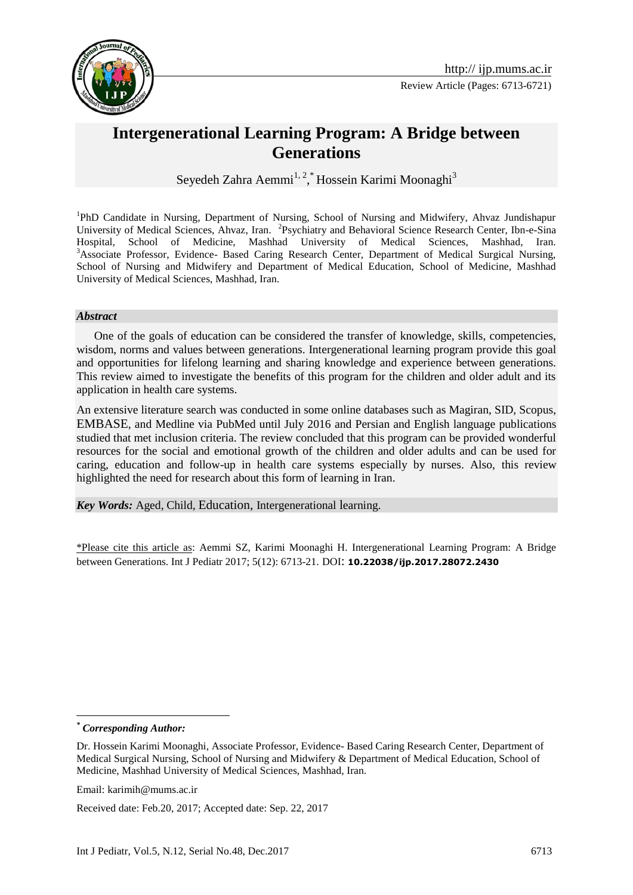

# **Intergenerational Learning Program: A Bridge between Generations**

Seyedeh Zahra Aemmi<sup>1, 2</sup>, Hossein Karimi Moonaghi<sup>3</sup>

<sup>1</sup>PhD Candidate in Nursing, Department of Nursing, School of Nursing and Midwifery, Ahvaz Jundishapur University of Medical Sciences, Ahvaz, Iran. <sup>2</sup>Psychiatry and Behavioral Science Research Center, Ibn-e-Sina Hospital, School of Medicine, Mashhad University of Medical Sciences, Mashhad, Iran. <sup>3</sup>Associate Professor, Evidence- Based Caring Research Center, Department of Medical Surgical Nursing, School of Nursing and Midwifery and Department of Medical Education, School of Medicine, Mashhad University of Medical Sciences, Mashhad, Iran.

#### *Abstract*

 One of the goals of education can be considered the transfer of knowledge, skills, competencies, wisdom, norms and values between generations. Intergenerational learning program provide this goal and opportunities for lifelong learning and sharing knowledge and experience between generations. This review aimed to investigate the benefits of this program for the children and older adult and its application in health care systems.

An extensive literature search was conducted in some online databases such as Magiran, SID, Scopus, EMBASE, and Medline via PubMed until July 2016 and Persian and English language publications studied that met inclusion criteria. The review concluded that this program can be provided wonderful resources for the social and emotional growth of the children and older adults and can be used for caring, education and follow-up in health care systems especially by nurses. Also, this review highlighted the need for research about this form of learning in Iran.

*Key Words:* Aged, Child, Education, Intergenerational learning.

\*Please cite this article as: Aemmi SZ, Karimi Moonaghi H. Intergenerational Learning Program: A Bridge between Generations. Int J Pediatr 2017; 5(12): 6713-21. DOI: **10.22038/ijp.2017.28072.2430**

1

*<sup>\*</sup> Corresponding Author:*

Dr. Hossein Karimi Moonaghi, Associate Professor, Evidence- Based Caring Research Center, Department of Medical Surgical Nursing, School of Nursing and Midwifery & Department of Medical Education, School of Medicine, Mashhad University of Medical Sciences, Mashhad, Iran.

Email: karimih@mums.ac.ir

Received date: Feb.20, 2017; Accepted date: Sep. 22, 2017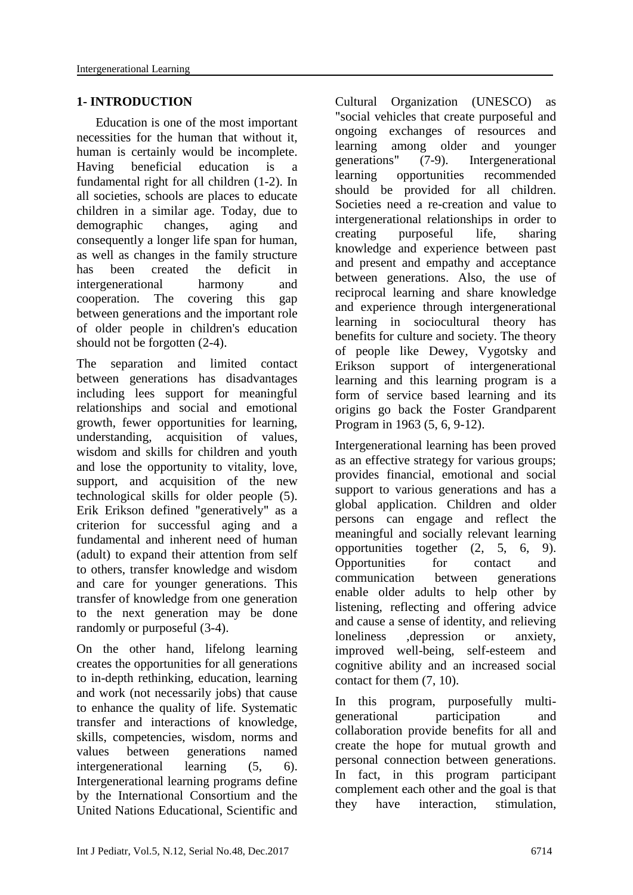#### **1- INTRODUCTION**

 Education is one of the most important necessities for the human that without it, human is certainly would be incomplete. Having beneficial education is a fundamental right for all children (1-2). In all societies, schools are places to educate children in a similar age. Today, due to demographic changes, aging and consequently a longer life span for human, as well as changes in the family structure has been created the deficit in intergenerational harmony and cooperation. The covering this gap between generations and the important role of older people in children's education should not be forgotten (2-4).

The separation and limited contact between generations has disadvantages including lees support for meaningful relationships and social and emotional growth, fewer opportunities for learning, understanding, acquisition of values, wisdom and skills for children and youth and lose the opportunity to vitality, love, support, and acquisition of the new technological skills for older people (5). Erik Erikson defined "generatively" as a criterion for successful aging and a fundamental and inherent need of human (adult) to expand their attention from self to others, transfer knowledge and wisdom and care for younger generations. This transfer of knowledge from one generation to the next generation may be done randomly or purposeful (3-4).

On the other hand, lifelong learning creates the opportunities for all generations to in-depth rethinking, education, learning and work (not necessarily jobs) that cause to enhance the quality of life. Systematic transfer and interactions of knowledge, skills, competencies, wisdom, norms and values between generations named intergenerational learning (5, 6). Intergenerational learning programs define by the International Consortium and the United Nations Educational, Scientific and Cultural Organization (UNESCO) as "social vehicles that create purposeful and ongoing exchanges of resources and learning among older and younger generations" (7-9). Intergenerational learning opportunities recommended should be provided for all children. Societies need a re-creation and value to intergenerational relationships in order to creating purposeful life, sharing knowledge and experience between past and present and empathy and acceptance between generations. Also, the use of reciprocal learning and share knowledge and experience through intergenerational learning in sociocultural theory has benefits for culture and society. The theory of people like Dewey, Vygotsky and Erikson support of intergenerational learning and this learning program is a form of service based learning and its origins go back the Foster Grandparent Program in 1963 (5, 6, 9-12).

Intergenerational learning has been proved as an effective strategy for various groups; provides financial, emotional and social support to various generations and has a global application. Children and older persons can engage and reflect the meaningful and socially relevant learning opportunities together (2, 5, 6, 9). Opportunities for contact and communication between generations enable older adults to help other by listening, reflecting and offering advice and cause a sense of identity, and relieving loneliness ,depression or anxiety, improved well-being, self-esteem and cognitive ability and an increased social contact for them (7, 10).

In this program, purposefully multigenerational participation and collaboration provide benefits for all and create the hope for mutual growth and personal connection between generations. In fact, in this program participant complement each other and the goal is that they have interaction, stimulation,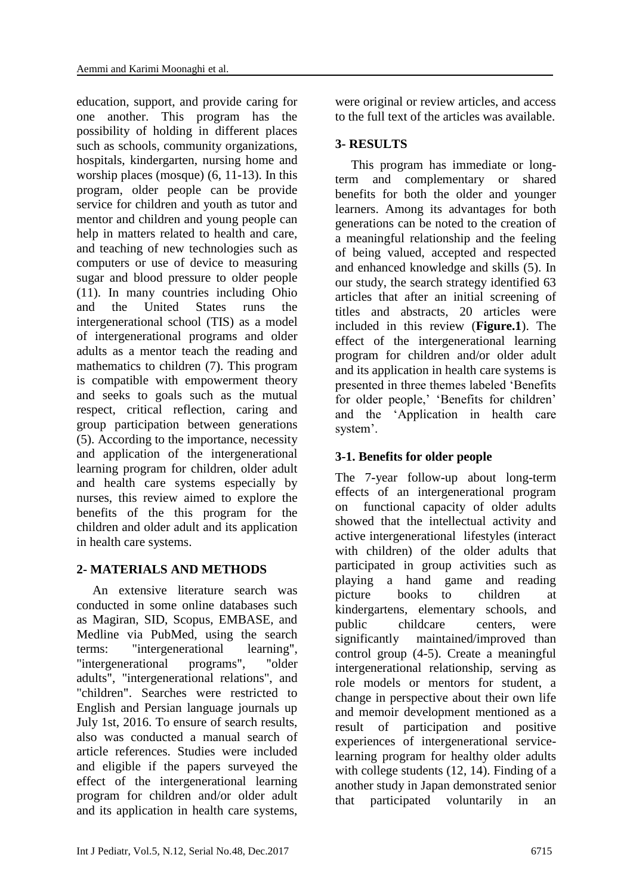education, support, and provide caring for one another. This program has the possibility of holding in different places such as schools, community organizations, hospitals, kindergarten, nursing home and worship places (mosque) (6, 11-13). In this program, older people can be provide service for children and youth as tutor and mentor and children and young people can help in matters related to health and care, and teaching of new technologies such as computers or use of device to measuring sugar and blood pressure to older people (11). In many countries including Ohio and the United States runs the intergenerational school (TIS) as a model of intergenerational programs and older adults as a mentor teach the reading and mathematics to children (7). This program is compatible with empowerment theory and seeks to goals such as the mutual respect, critical reflection, caring and group participation between generations (5). According to the importance, necessity and application of the intergenerational learning program for children, older adult and health care systems especially by nurses, this review aimed to explore the benefits of the this program for the children and older adult and its application in health care systems.

#### **2- MATERIALS AND METHODS**

 An extensive literature search was conducted in some online databases such as Magiran, SID, Scopus, EMBASE, and Medline via PubMed, using the search terms: "intergenerational learning", "intergenerational programs", "older adults", "intergenerational relations", and "children". Searches were restricted to English and Persian language journals up July 1st, 2016. To ensure of search results, also was conducted a manual search of article references. Studies were included and eligible if the papers surveyed the effect of the intergenerational learning program for children and/or older adult and its application in health care systems, were original or review articles, and access to the full text of the articles was available.

### **3- RESULTS**

 This program has immediate or longterm and complementary or shared benefits for both the older and younger learners. Among its advantages for both generations can be noted to the creation of a meaningful relationship and the feeling of being valued, accepted and respected and enhanced knowledge and skills (5). In our study, the search strategy identified 63 articles that after an initial screening of titles and abstracts, 20 articles were included in this review (**Figure.1**). The effect of the intergenerational learning program for children and/or older adult and its application in health care systems is presented in three themes labeled 'Benefits for older people,' 'Benefits for children' and the 'Application in health care system'.

## **3-1. Benefits for older people**

The 7-year follow-up about long-term effects of an intergenerational program on functional capacity of older adults showed that the intellectual activity and active intergenerational lifestyles (interact with children) of the older adults that participated in group activities such as playing a hand game and reading picture books to children at kindergartens, elementary schools, and public childcare centers, were significantly maintained/improved than control group (4-5). Create a meaningful intergenerational relationship, serving as role models or mentors for student, a change in perspective about their own life and memoir development mentioned as a result of participation and positive experiences of intergenerational servicelearning program for healthy older adults with college students (12, 14). Finding of a another study in Japan demonstrated senior that participated voluntarily in an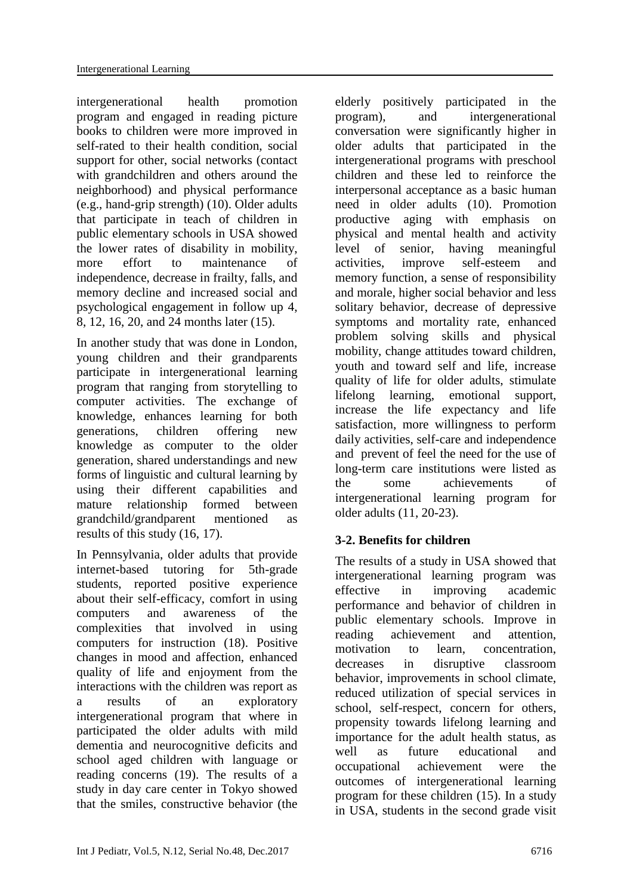intergenerational health promotion program and engaged in reading picture books to children were more improved in self-rated to their health condition, social support for other, social networks (contact with grandchildren and others around the neighborhood) and physical performance (e.g., hand-grip strength) (10). Older adults that participate in teach of children in public elementary schools in USA showed the lower rates of disability in mobility, more effort to maintenance of independence, decrease in frailty, falls, and memory decline and increased social and psychological engagement in follow up 4, 8, 12, 16, 20, and 24 months later (15).

In another study that was done in London, young children and their grandparents participate in intergenerational learning program that ranging from storytelling to computer activities. The exchange of knowledge, enhances learning for both generations, children offering new knowledge as computer to the older generation, shared understandings and new forms of linguistic and cultural learning by using their different capabilities and mature relationship formed between grandchild/grandparent mentioned as results of this study (16, 17).

In Pennsylvania, older adults that provide internet-based tutoring for 5th-grade students, reported positive experience about their self-efficacy, comfort in using computers and awareness of the complexities that involved in using computers for instruction (18). Positive changes in mood and affection, enhanced quality of life and enjoyment from the interactions with the children was report as a results of an exploratory intergenerational program that where in participated the older adults with mild dementia and neurocognitive deficits and school aged children with language or reading concerns (19). The results of a study in day care center in Tokyo showed that the smiles, constructive behavior (the

elderly positively participated in the program), and intergenerational conversation were significantly higher in older adults that participated in the intergenerational programs with preschool children and these led to reinforce the interpersonal acceptance as a basic human need in older adults (10). Promotion productive aging with emphasis on physical and mental health and activity level of senior, having meaningful activities, improve self-esteem and memory function, a sense of responsibility and morale, higher social behavior and less solitary behavior, decrease of depressive symptoms and mortality rate, enhanced problem solving skills and physical mobility, change attitudes toward children, youth and toward self and life, increase quality of life for older adults, stimulate lifelong learning, emotional support, increase the life expectancy and life satisfaction, more willingness to perform daily activities, self-care and independence and prevent of feel the need for the use of long-term care institutions were listed as the some achievements of intergenerational learning program for older adults (11, 20-23).

# **3-2. Benefits for children**

The results of a study in USA showed that intergenerational learning program was effective in improving academic performance and behavior of children in public elementary schools. Improve in reading achievement and attention, motivation to learn, concentration, decreases in disruptive classroom behavior, improvements in school climate, reduced utilization of special services in school, self-respect, concern for others, propensity towards lifelong learning and importance for the adult health status, as well as future educational and occupational achievement were the outcomes of intergenerational learning program for these children (15). In a study in USA, students in the second grade visit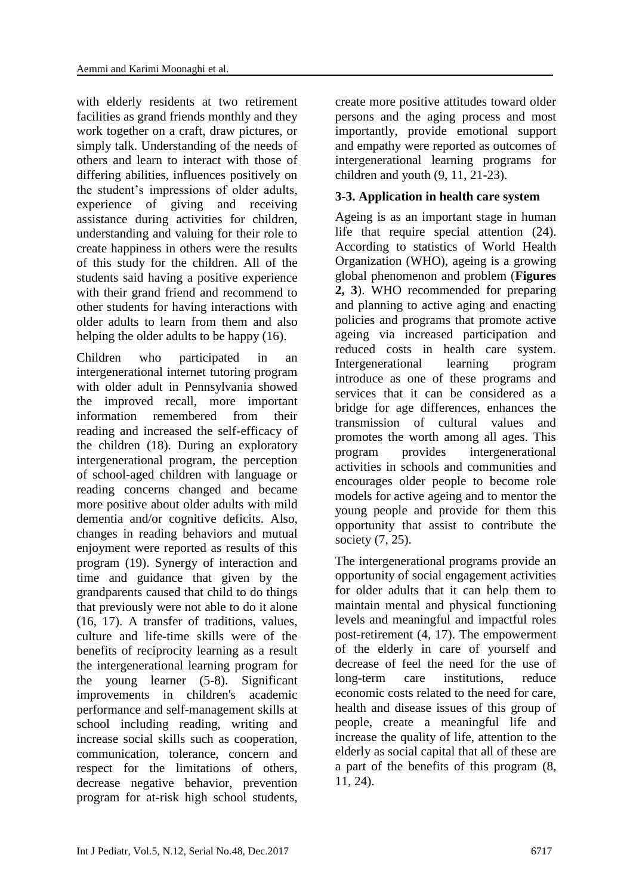with elderly residents at two retirement facilities as grand friends monthly and they work together on a craft, draw pictures, or simply talk. Understanding of the needs of others and learn to interact with those of differing abilities, influences positively on the student's impressions of older adults, experience of giving and receiving assistance during activities for children, understanding and valuing for their role to create happiness in others were the results of this study for the children. All of the students said having a positive experience with their grand friend and recommend to other students for having interactions with older adults to learn from them and also helping the older adults to be happy (16).

Children who participated in an intergenerational internet tutoring program with older adult in Pennsylvania showed the improved recall, more important information remembered from their reading and increased the self-efficacy of the children (18). During an exploratory intergenerational program, the perception of school-aged children with language or reading concerns changed and became more positive about older adults with mild dementia and/or cognitive deficits. Also, changes in reading behaviors and mutual enjoyment were reported as results of this program (19). Synergy of interaction and time and guidance that given by the grandparents caused that child to do things that previously were not able to do it alone (16, 17). A transfer of traditions, values, culture and life-time skills were of the benefits of reciprocity learning as a result the intergenerational learning program for the young learner (5-8). Significant improvements in children's academic performance and self-management skills at school including reading, writing and increase social skills such as cooperation, communication, tolerance, concern and respect for the limitations of others, decrease negative behavior, prevention program for at-risk high school students,

create more positive attitudes toward older persons and the aging process and most importantly, provide emotional support and empathy were reported as outcomes of intergenerational learning programs for children and youth (9, 11, 21-23).

#### **3-3. Application in health care system**

Ageing is as an important stage in human life that require special attention [\(24\)](#page-7-0). According to statistics of World Health Organization (WHO), ageing is a growing global phenomenon and problem (**Figures 2, 3**). WHO recommended for preparing and planning to active aging and enacting policies and programs that promote active ageing via increased participation and reduced costs in health care system. Intergenerational learning program introduce as one of these programs and services that it can be considered as a bridge for age differences, enhances the transmission of cultural values and promotes the worth among all ages. This program provides intergenerational activities in schools and communities and encourages older people to become role models for active ageing and to mentor the young people and provide for them this opportunity that assist to contribute the society (7, [25\)](#page-8-0).

The intergenerational programs provide an opportunity of social engagement activities for older adults that it can help them to maintain mental and physical functioning levels and meaningful and impactful roles post-retirement (4, 17). The empowerment of the elderly in care of yourself and decrease of feel the need for the use of long-term care institutions, reduce economic costs related to the need for care, health and disease issues of this group of people, create a meaningful life and increase the quality of life, attention to the elderly as social capital that all of these are a part of the benefits of this program (8, 11, [24\)](#page-7-0).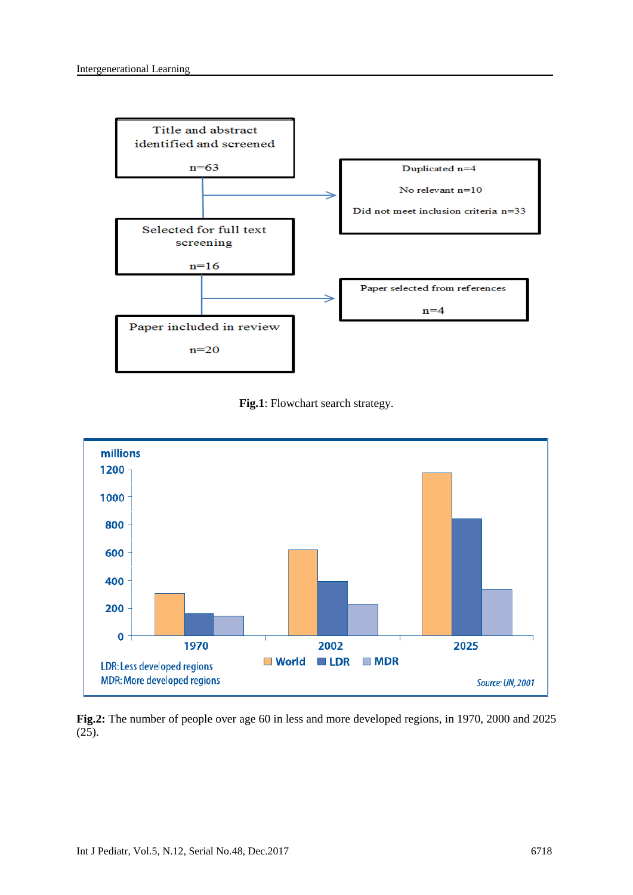

**Fig.1**: Flowchart search strategy.



**Fig.2:** The number of people over age 60 in less and more developed regions, in 1970, 2000 and 2025 (25).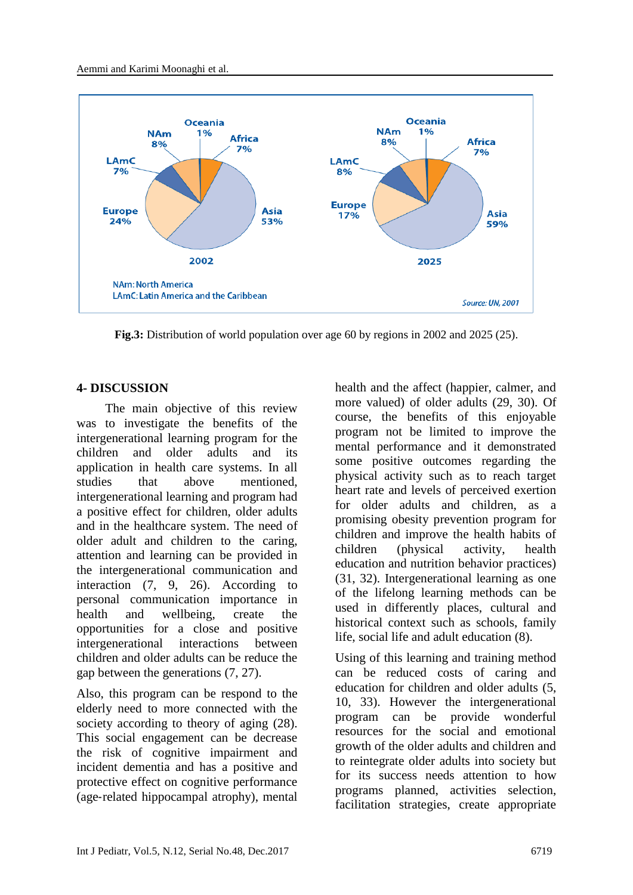

**Fig.3:** Distribution of world population over age 60 by regions in 2002 and 2025 (25).

#### **4- DISCUSSION**

 The main objective of this review was to investigate the benefits of the intergenerational learning program for the children and older adults and its application in health care systems. In all studies that above mentioned, intergenerational learning and program had a positive effect for children, older adults and in the healthcare system. The need of older adult and children to the caring, attention and learning can be provided in the intergenerational communication and interaction (7, 9, 26). According to personal communication importance in health and wellbeing, create the opportunities for a close and positive intergenerational interactions between children and older adults can be reduce the gap between the generations (7, 27).

Also, this program can be respond to the elderly need to more connected with the society according to theory of aging  $(28)$ . This social engagement can be decrease the risk of cognitive impairment and incident dementia and has a positive and protective effect on cognitive performance (age‐related hippocampal atrophy), mental

health and the affect (happier, calmer, and more valued) of older adults (29, 30). Of course, the benefits of this enjoyable program not be limited to improve the mental performance and it demonstrated some positive outcomes regarding the physical activity such as to reach target heart rate and levels of perceived exertion for older adults and children, as a promising obesity prevention program for children and improve the health habits of children (physical activity, health education and nutrition behavior practices) (31, 32). Intergenerational learning as one of the lifelong learning methods can be used in differently places, cultural and historical context such as schools, family life, social life and adult education (8).

Using of this learning and training method can be reduced costs of caring and education for children and older adults (5, 10, 33). However the intergenerational program can be provide wonderful resources for the social and emotional growth of the older adults and children and to reintegrate older adults into society but for its success needs attention to how programs planned, activities selection, facilitation strategies, create appropriate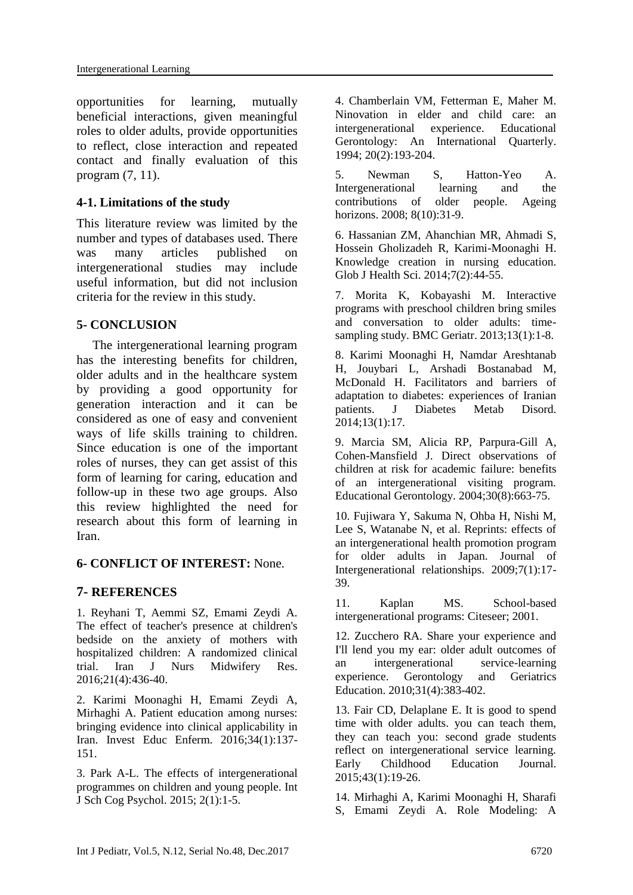opportunities for learning, mutually beneficial interactions, given meaningful roles to older adults, provide opportunities to reflect, close interaction and repeated contact and finally evaluation of this program (7, 11).

#### **4-1. Limitations of the study**

This literature review was limited by the number and types of databases used. There was many articles published on intergenerational studies may include useful information, but did not inclusion criteria for the review in this study.

#### **5- CONCLUSION**

 The intergenerational learning program has the interesting benefits for children, older adults and in the healthcare system by providing a good opportunity for generation interaction and it can be considered as one of easy and convenient ways of life skills training to children. Since education is one of the important roles of nurses, they can get assist of this form of learning for caring, education and follow-up in these two age groups. Also this review highlighted the need for research about this form of learning in Iran.

#### **6- CONFLICT OF INTEREST:** None.

#### **7- REFERENCES**

<span id="page-7-0"></span>1. Reyhani T, Aemmi SZ, Emami Zeydi A. The effect of teacher's presence at children's bedside on the anxiety of mothers with hospitalized children: A randomized clinical trial. Iran J Nurs Midwifery Res. 2016;21(4):436-40.

2. Karimi Moonaghi H, Emami Zeydi A, Mirhaghi A. Patient education among nurses: bringing evidence into clinical applicability in Iran. Invest Educ Enferm. 2016;34(1):137- 151.

3. Park A-L. The effects of intergenerational programmes on children and young people. Int J Sch Cog Psychol. 2015; 2(1):1-5.

4. Chamberlain VM, Fetterman E, Maher M. Ninovation in elder and child care: an intergenerational experience. Educational Gerontology: An International Quarterly. 1994; 20(2):193-204.

5. Newman S, Hatton-Yeo A. Intergenerational learning and the contributions of older people. Ageing horizons. 2008; 8(10):31-9.

6. Hassanian ZM, Ahanchian MR, Ahmadi S, Hossein Gholizadeh R, Karimi-Moonaghi H. Knowledge creation in nursing education. Glob J Health Sci. 2014;7(2):44-55.

7. Morita K, Kobayashi M. Interactive programs with preschool children bring smiles and conversation to older adults: timesampling study. BMC Geriatr. 2013;13(1):1-8.

8. Karimi Moonaghi H, Namdar Areshtanab H, Jouybari L, Arshadi Bostanabad M, McDonald H. Facilitators and barriers of adaptation to diabetes: experiences of Iranian patients. J Diabetes Metab Disord. 2014;13(1):17.

9. Marcia SM, Alicia RP, Parpura-Gill A, Cohen-Mansfield J. Direct observations of children at risk for academic failure: benefits of an intergenerational visiting program. Educational Gerontology. 2004;30(8):663-75.

10. Fujiwara Y, Sakuma N, Ohba H, Nishi M, Lee S, Watanabe N, et al. Reprints: effects of an intergenerational health promotion program for older adults in Japan. Journal of Intergenerational relationships. 2009;7(1):17- 39.

11. Kaplan MS. School-based intergenerational programs: Citeseer; 2001.

12. Zucchero RA. Share your experience and I'll lend you my ear: older adult outcomes of an intergenerational service-learning experience. Gerontology and Geriatrics Education. 2010;31(4):383-402.

13. Fair CD, Delaplane E. It is good to spend time with older adults. you can teach them, they can teach you: second grade students reflect on intergenerational service learning. Early Childhood Education Journal. 2015;43(1):19-26.

14. Mirhaghi A, Karimi Moonaghi H, Sharafi S, Emami Zeydi A. Role Modeling: A